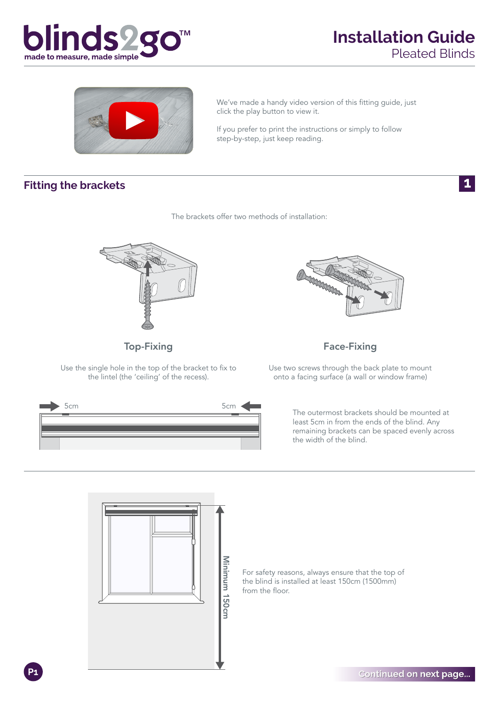



We've made a handy video version of this fitting guide, just click the play button to view it.

If you prefer to print the instructions or simply to follow step-by-step, just keep reading.

The brackets offer two methods of installation:

#### **Fitting the brackets**

 $\mathbf 1$ 



Top-Fixing

Use the single hole in the top of the bracket to fix to the lintel (the 'ceiling' of the recess).





Face-Fixing

Use two screws through the back plate to mount onto a facing surface (a wall or window frame)

> The outermost brackets should be mounted at least 5cm in from the ends of the blind. Any remaining brackets can be spaced evenly across the width of the blind.



For safety reasons, always ensure that the top of the blind is installed at least 150cm (1500mm) from the floor.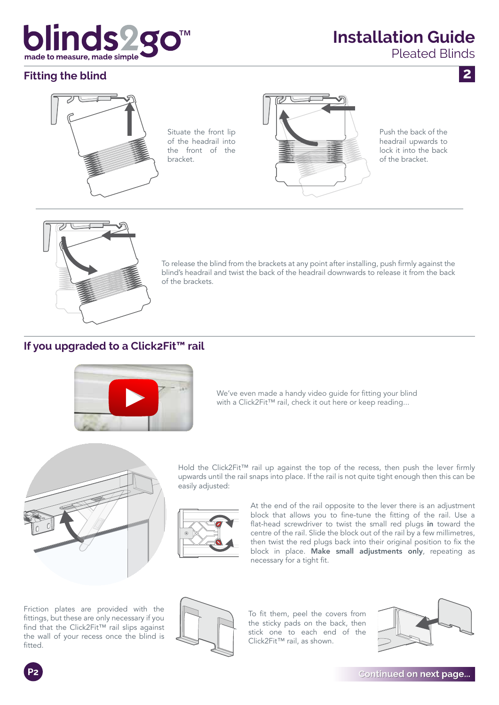## blinds2g made to measure, made simple

### **Installation Guide**

Pleated Blinds

 $\overline{2}$ 

#### **Fitting the blind**



Push the back of the headrail upwards to lock it into the back of the bracket.



To release the blind from the brackets at any point after installing, push firmly against the blind's headrail and twist the back of the headrail downwards to release it from the back of the brackets.

#### **If you upgraded to a Click2Fit™ rail**



We've even made a handy video guide for fitting your blind with a Click2Fit™ rail, check it out here or keep reading...



Hold the Click2Fit™ rail up against the top of the recess, then push the lever firmly upwards until the rail snaps into place. If the rail is not quite tight enough then this can be easily adjusted:



At the end of the rail opposite to the lever there is an adjustment block that allows you to fine-tune the fitting of the rail. Use a flat-head screwdriver to twist the small red plugs in toward the centre of the rail. Slide the block out of the rail by a few millimetres, then twist the red plugs back into their original position to fix the block in place. Make small adjustments only, repeating as necessary for a tight fit.

Friction plates are provided with the fittings, but these are only necessary if you find that the Click2Fit™ rail slips against the wall of your recess once the blind is fitted.



To fit them, peel the covers from the sticky pads on the back, then stick one to each end of the Click2Fit™ rail, as shown.



**Continued on next page...** 

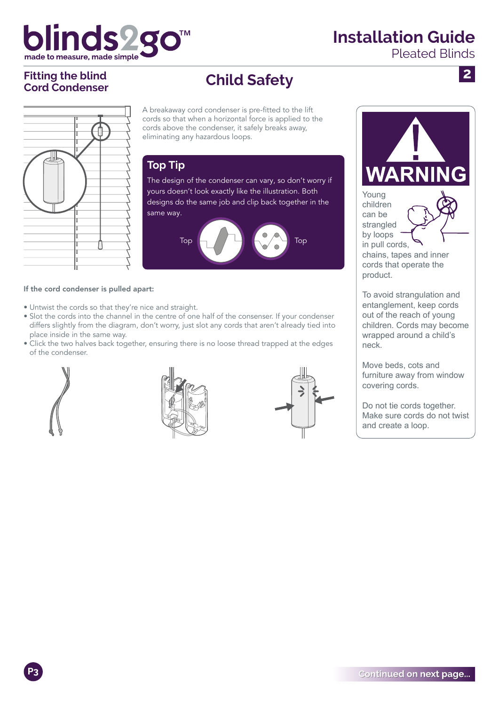## blinds2 made to measure, made simple

### **Installation Guide**

Pleated Blinds

 $\overline{2}$ 

# **Fitting the blind**

### Fitting the blind<br>
Cord Condenser<br>
Ch**ild Safety**

A breakaway cord condenser is pre-fitted to the lift cords so that when a horizontal force is applied to the cords above the condenser, it safely breaks away, eliminating any hazardous loops.

### **Top Tip**

The design of the condenser can vary, so don't worry if yours doesn't look exactly like the illustration. Both designs do the same job and clip back together in the same way.



#### If the cord condenser is pulled apart:

- Untwist the cords so that they're nice and straight.
- Slot the cords into the channel in the centre of one half of the consenser. If your condenser • differs slightly from the diagram, don't worry, just slot any cords that aren't already tied into place inside in the same way.
- Click the two halves back together, ensuring there is no loose thread trapped at the edges of the condenser.







**WARN** Young children can be strangled by loops

in pull cords, chains, tapes and inner cords that operate the product.

To avoid strangulation and entanglement, keep cords out of the reach of young children. Cords may become wrapped around a child's neck.

Move beds, cots and furniture away from window covering cords.

Do not tie cords together. Make sure cords do not twist and create a loop.